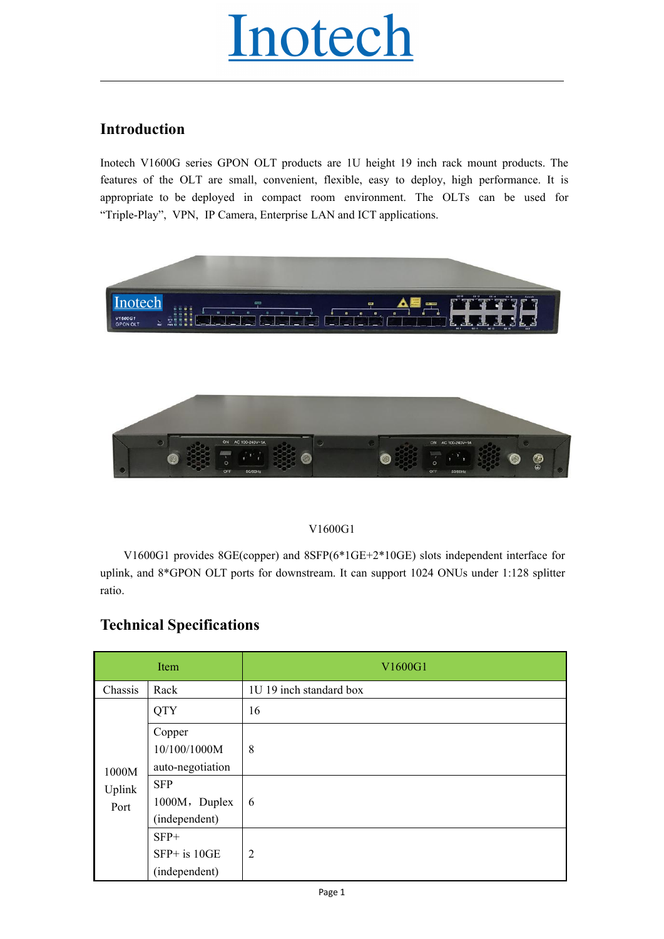# Inotech

## **Introduction**

Inotech V1600G series GPON OLT products are 1U height 19 inch rack mount products. The features of the OLT are small, convenient, flexible, easy to deploy, high performance. It is appropriate to be deployed in compact room environment. The OLTs can be used for "Triple-Play", VPN, IP Camera, Enterprise LAN and ICT applications.



### V1600G1

|                                                                                                                                                                                                                                    |                                              | V1600G1                 |  |  |  |  |  |
|------------------------------------------------------------------------------------------------------------------------------------------------------------------------------------------------------------------------------------|----------------------------------------------|-------------------------|--|--|--|--|--|
| V1600G1 provides 8GE(copper) and 8SFP( $6*1GE+2*10GE$ ) slots independent interface for<br>uplink, and 8*GPON OLT ports for downstream. It can support 1024 ONUs under 1:128 splitter<br>ratio.<br><b>Technical Specifications</b> |                                              |                         |  |  |  |  |  |
|                                                                                                                                                                                                                                    | Item                                         | V1600G1                 |  |  |  |  |  |
| Chassis                                                                                                                                                                                                                            | Rack                                         | 1U 19 inch standard box |  |  |  |  |  |
|                                                                                                                                                                                                                                    | <b>QTY</b>                                   | 16                      |  |  |  |  |  |
| 1000M                                                                                                                                                                                                                              | Copper<br>10/100/1000M<br>auto-negotiation   | 8                       |  |  |  |  |  |
| Uplink<br>Port                                                                                                                                                                                                                     | <b>SFP</b><br>1000M, Duplex<br>(independent) | 6                       |  |  |  |  |  |
|                                                                                                                                                                                                                                    | $SFP+$<br>SFP+ is 10GE<br>(independent)      | $\overline{2}$          |  |  |  |  |  |
|                                                                                                                                                                                                                                    |                                              | Page 1                  |  |  |  |  |  |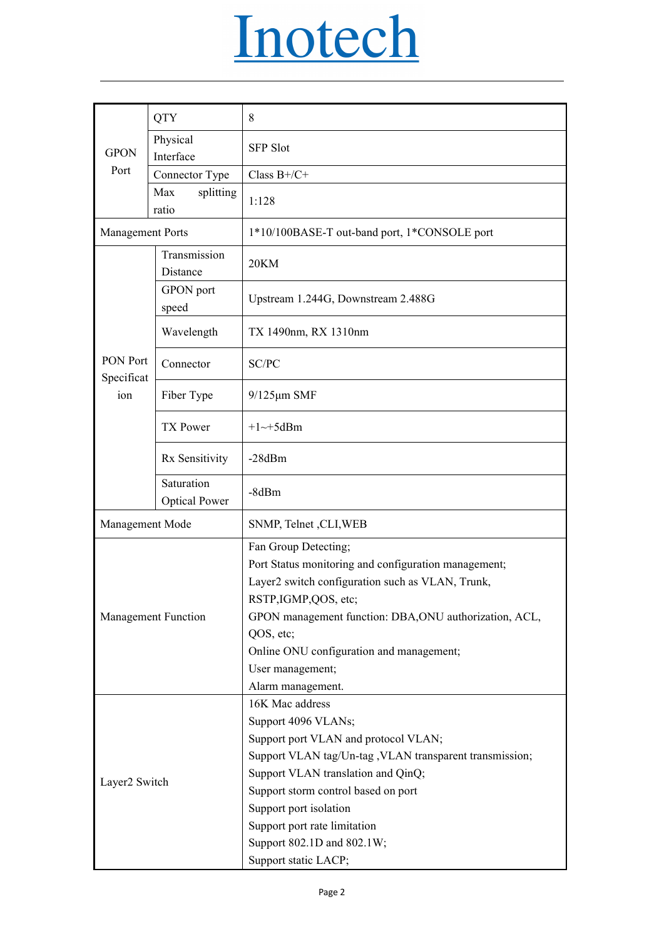|                        |                                    | <u>Inotech</u>                                                                                                                                                                                                                                                                                                                                               |
|------------------------|------------------------------------|--------------------------------------------------------------------------------------------------------------------------------------------------------------------------------------------------------------------------------------------------------------------------------------------------------------------------------------------------------------|
|                        | <b>QTY</b>                         | 8                                                                                                                                                                                                                                                                                                                                                            |
| <b>GPON</b>            | Physical<br>Interface              | <b>SFP Slot</b>                                                                                                                                                                                                                                                                                                                                              |
| Port                   | Connector Type                     | Class $B+/C+$                                                                                                                                                                                                                                                                                                                                                |
|                        | Max<br>splitting<br>ratio          | 1:128                                                                                                                                                                                                                                                                                                                                                        |
| Management Ports       |                                    | 1*10/100BASE-T out-band port, 1*CONSOLE port                                                                                                                                                                                                                                                                                                                 |
|                        | Transmission<br>Distance           | 20KM                                                                                                                                                                                                                                                                                                                                                         |
|                        | GPON port<br>speed                 | Upstream 1.244G, Downstream 2.488G                                                                                                                                                                                                                                                                                                                           |
|                        | Wavelength                         | TX 1490nm, RX 1310nm                                                                                                                                                                                                                                                                                                                                         |
| PON Port<br>Specificat | Connector                          | SC/PC                                                                                                                                                                                                                                                                                                                                                        |
| ion                    | Fiber Type                         | $9/125 \mu m$ SMF                                                                                                                                                                                                                                                                                                                                            |
|                        | TX Power                           | $+1$ ~+5dBm                                                                                                                                                                                                                                                                                                                                                  |
|                        | Rx Sensitivity                     | $-28dBm$                                                                                                                                                                                                                                                                                                                                                     |
|                        | Saturation<br><b>Optical Power</b> | $-8dBm$                                                                                                                                                                                                                                                                                                                                                      |
| Management Mode        |                                    | SNMP, Telnet , CLI, WEB                                                                                                                                                                                                                                                                                                                                      |
| Management Function    |                                    | Fan Group Detecting;<br>Port Status monitoring and configuration management;<br>Layer2 switch configuration such as VLAN, Trunk,<br>RSTP, IGMP, QOS, etc;                                                                                                                                                                                                    |
|                        |                                    | GPON management function: DBA, ONU authorization, ACL,<br>QOS, etc;<br>Online ONU configuration and management;<br>User management;                                                                                                                                                                                                                          |
| Layer2 Switch          |                                    | Alarm management.<br>16K Mac address<br>Support 4096 VLANs;<br>Support port VLAN and protocol VLAN;<br>Support VLAN tag/Un-tag , VLAN transparent transmission;<br>Support VLAN translation and QinQ;<br>Support storm control based on port<br>Support port isolation<br>Support port rate limitation<br>Support 802.1D and 802.1W;<br>Support static LACP; |
|                        |                                    | Page 2                                                                                                                                                                                                                                                                                                                                                       |